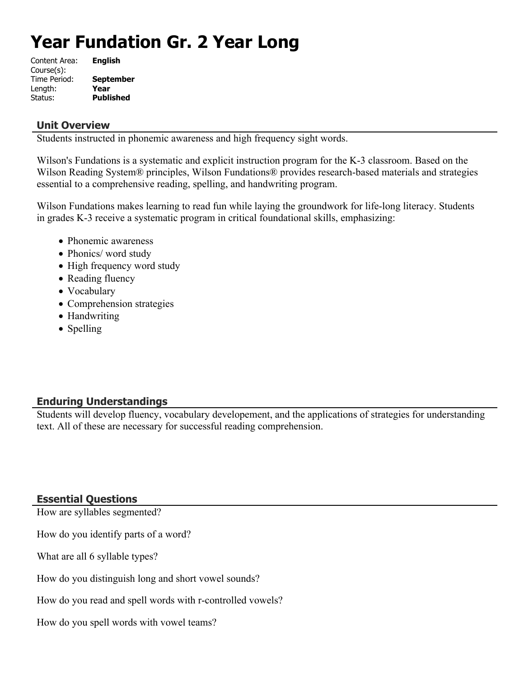# **Year Fundation Gr. 2 Year Long**

| Content Area: | <b>English</b>   |
|---------------|------------------|
| Course(s):    |                  |
| Time Period:  | <b>September</b> |
| Length:       | Year             |
| Status:       | <b>Published</b> |

### **Unit Overview**

Students instructed in phonemic awareness and high frequency sight words.

Wilson's Fundations is a systematic and explicit instruction program for the K-3 classroom. Based on the Wilson Reading System® principles, Wilson Fundations® provides research-based materials and strategies essential to a comprehensive reading, spelling, and handwriting program.

Wilson Fundations makes learning to read fun while laying the groundwork for life-long literacy. Students in grades K-3 receive a systematic program in critical foundational skills, emphasizing:

- Phonemic awareness
- Phonics/ word study
- High frequency word study
- Reading fluency
- Vocabulary
- Comprehension strategies
- Handwriting
- Spelling

## **Enduring Understandings**

Students will develop fluency, vocabulary developement, and the applications of strategies for understanding text. All of these are necessary for successful reading comprehension.

## **Essential Questions**

How are syllables segmented?

How do you identify parts of a word?

What are all 6 syllable types?

How do you distinguish long and short vowel sounds?

How do you read and spell words with r-controlled vowels?

How do you spell words with vowel teams?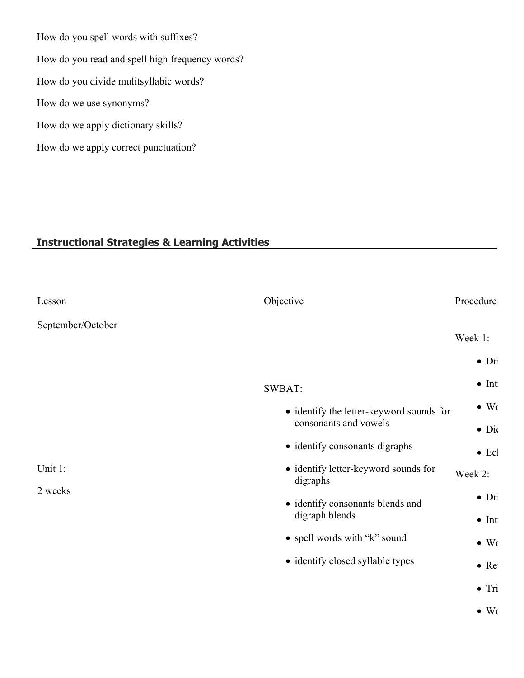How do you spell words with suffixes? How do you read and spell high frequency words? How do you divide mulitsyllabic words? How do we use synonyms? How do we apply dictionary skills? How do we apply correct punctuation?

## **Instructional Strategies & Learning Activities**

| Lesson             | Objective                                        | Procedure     |
|--------------------|--------------------------------------------------|---------------|
| September/October  |                                                  |               |
|                    |                                                  | Week 1:       |
|                    |                                                  | $\bullet$ Dr  |
|                    | SWBAT:                                           | $\bullet$ Int |
|                    | • identify the letter-keyword sounds for         | $\bullet$ Wo  |
|                    | consonants and vowels                            | $\bullet$ Di  |
|                    | • identify consonants digraphs                   | $\bullet$ Ecl |
| Unit 1:<br>2 weeks | • identify letter-keyword sounds for<br>digraphs | Week 2:       |
|                    | · identify consonants blends and                 | $\bullet$ Dr  |
|                    | digraph blends                                   | $\bullet$ Int |
|                    | • spell words with "k" sound                     | $\bullet$ Wo  |
|                    | • identify closed syllable types                 | $\bullet$ Re  |
|                    |                                                  | $\bullet$ Tri |
|                    |                                                  | $\bullet$ Wo  |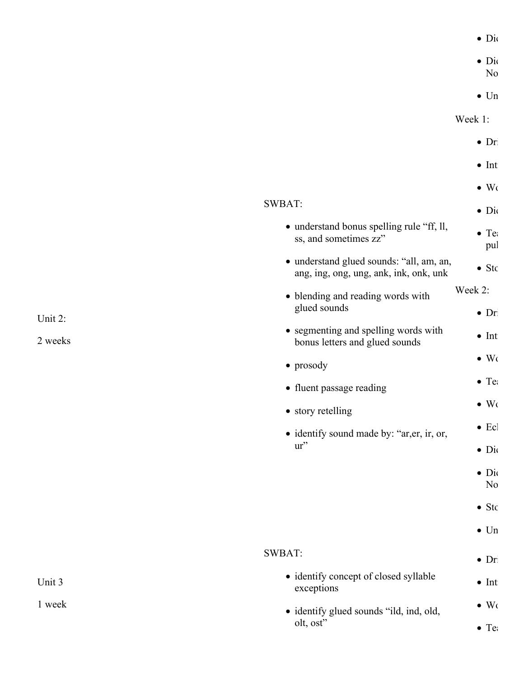$\bullet$  Dio

 $\bullet$  Dic

 $\overline{N_0}$ 

 $\bullet$  Un

Week 1:

|                                                                                    | $\bullet$ Dr                   |
|------------------------------------------------------------------------------------|--------------------------------|
|                                                                                    | $\bullet$ Int                  |
|                                                                                    | $\bullet$ Wo                   |
| SWBAT:                                                                             | $\bullet$ Dio                  |
| • understand bonus spelling rule "ff, ll,<br>ss, and sometimes zz"                 | $\bullet$ Te<br>pul            |
| • understand glued sounds: "all, am, an,<br>ang, ing, ong, ung, ank, ink, onk, unk | $\bullet$ Stc                  |
| • blending and reading words with                                                  | Week 2:                        |
| glued sounds                                                                       | $\bullet$ Dr                   |
| • segmenting and spelling words with<br>bonus letters and glued sounds             | $\bullet$ Int                  |
| $\bullet$ prosody                                                                  | $\bullet$ Wo                   |
| • fluent passage reading                                                           | $\bullet$ Te:                  |
| • story retelling                                                                  | $\bullet$ Wo                   |
| • identify sound made by: "ar, er, ir, or,                                         | $\bullet$ Ecl                  |
| ur''                                                                               | $\bullet$ Di                   |
|                                                                                    | $\bullet$ Di<br>N <sub>0</sub> |
|                                                                                    | $\bullet$ Stc                  |
|                                                                                    | $\bullet$ Un                   |
|                                                                                    |                                |
| SWBAT:                                                                             | $\bullet$ Dr                   |
| • identify concept of closed syllable<br>exceptions                                | $\bullet$ Int                  |
| • identify glued sounds "ild, ind, old,                                            | $\bullet$ Wo                   |
| olt, ost"                                                                          | $\bullet$ Te:                  |

Unit 2:

2 weeks

Unit 3

1 week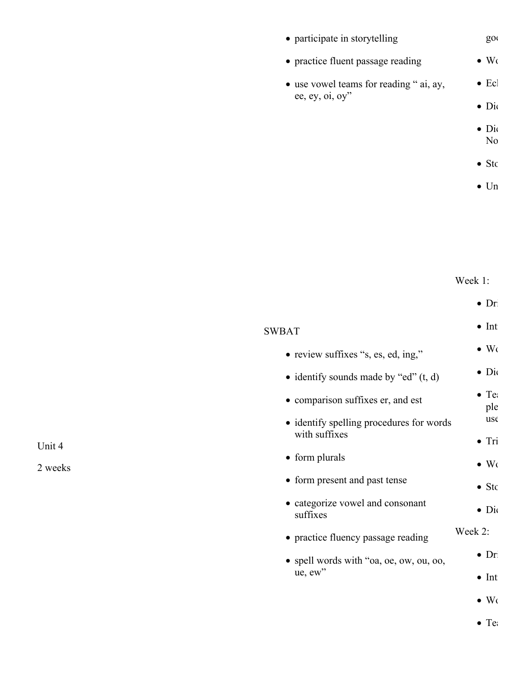| • participate in storytelling                             | $g_{0}$        |
|-----------------------------------------------------------|----------------|
| • practice fluent passage reading                         | $\bullet$ Wo   |
| • use vowel teams for reading "ai, ay,<br>ee, ey, oi, oy" | $\bullet$ Ecl  |
|                                                           | $\bullet$ Di   |
|                                                           | $\bullet$ Di   |
|                                                           | N <sub>0</sub> |
|                                                           | $\bullet$ Stc  |
|                                                           | $\bullet$ Un   |
|                                                           |                |
|                                                           |                |
|                                                           |                |
|                                                           | Week 1:        |
|                                                           |                |

|                                                           | $\bullet$ Dr         |
|-----------------------------------------------------------|----------------------|
| <b>SWBAT</b>                                              | $\bullet$ Int        |
| • review suffixes "s, es, ed, ing,"                       | $\bullet$ Wo         |
| • identify sounds made by "ed" $(t, d)$                   | $\bullet$ Di         |
| • comparison suffixes er, and est                         | $\bullet$ Te:<br>ple |
| • identify spelling procedures for words<br>with suffixes | $\,$ us $\,$         |
| • form plurals                                            | $\bullet$ Tri        |
|                                                           | $\bullet$ Wo         |
| • form present and past tense                             | $\bullet$ Stc        |
| • categorize vowel and consonant<br>suffixes              | $\bullet$ Dio        |
| • practice fluency passage reading                        | Week 2:              |
| • spell words with "oa, oe, ow, ou, oo,                   | $\bullet$ Dr         |
| $ue, ew$ "                                                | $\bullet$ Int        |
|                                                           | $\bullet$ Wo         |
|                                                           | $\bullet$ Te         |

Unit 4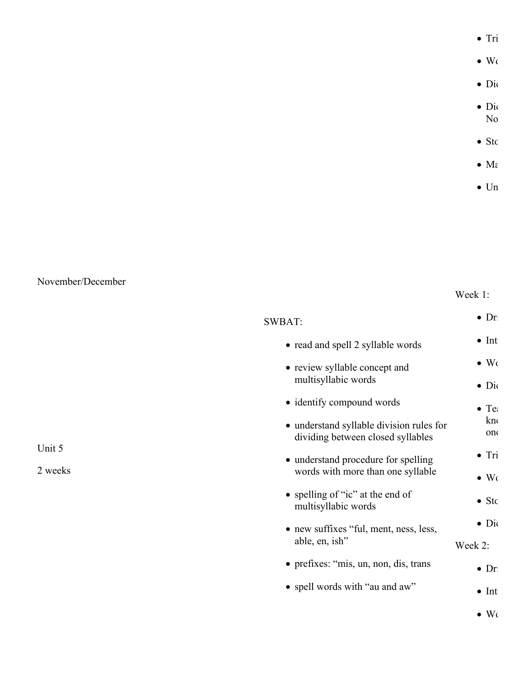$\bullet$  Tri

 $\bullet$  Wo

 $\bullet$  Dic

- $\bullet$  Dio  $No$
- $\bullet$  Sto
- $\bullet$  Ma
- $\bullet$  Un

November/December

Week 1:

| SWBAT:                                                                        | $\bullet$ Dr  |
|-------------------------------------------------------------------------------|---------------|
| • read and spell 2 syllable words                                             | $\bullet$ Int |
| • review syllable concept and                                                 | $\bullet$ Wo  |
| multisyllabic words                                                           | $\bullet$ Di  |
| • identify compound words                                                     | $\bullet$ Te: |
| • understand syllable division rules for<br>dividing between closed syllables | kn<br>on      |
| • understand procedure for spelling                                           | $\bullet$ Tri |
| words with more than one syllable                                             | $\bullet$ Wo  |
| • spelling of "ic" at the end of<br>multisyllabic words                       | $\bullet$ Stc |
| • new suffixes "ful, ment, ness, less,                                        | $\bullet$ Di  |
| able, en, ish"                                                                | Week 2:       |
| • prefixes: "mis, un, non, dis, trans                                         | $\bullet$ Dr  |
| • spell words with "au and aw"                                                | $\bullet$ Int |
|                                                                               | $\bullet$ Wo  |

Unit 5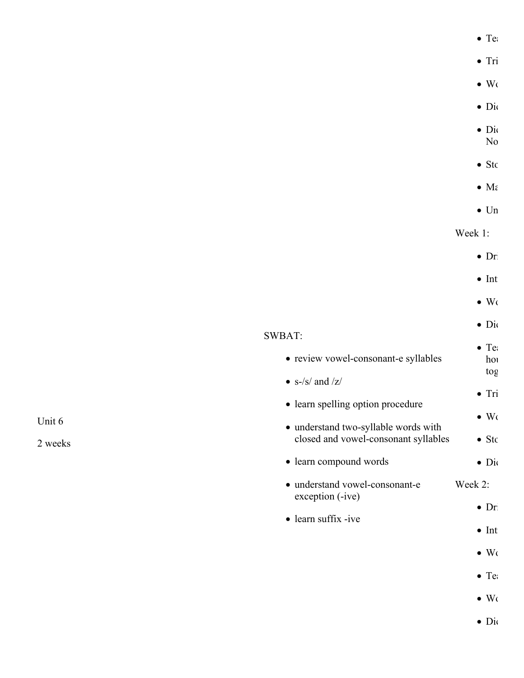|                                      | $\bullet$ Te:          |
|--------------------------------------|------------------------|
|                                      | $\bullet$ Tri          |
|                                      | $\bullet$ Wo           |
|                                      | $\bullet$ Di           |
|                                      | $\bullet$ Di           |
|                                      | No                     |
|                                      | $\bullet$ Stc          |
|                                      | $\bullet$ M $\epsilon$ |
|                                      | $\bullet$ Un           |
|                                      | Week 1:                |
|                                      | $\bullet$ Dr           |
|                                      | $\bullet$ Int          |
|                                      | $\bullet$ Wo           |
|                                      | $\bullet$ Dio          |
| SWBAT:                               | $\bullet$ Te:          |
| · review vowel-consonant-e syllables | hou                    |
| $\bullet\,$ s-/s/ and /z/            | tog                    |
| • learn spelling option procedure    | $\bullet$ Tri          |
| · understand two-syllable words with | $\bullet$ Wo           |
| closed and vowel-consonant syllables | $\bullet$ Stc          |
| • learn compound words               | $\bullet$ Di           |
| · understand vowel-consonant-e       | Week 2:                |
| exception (-ive)                     | $\bullet$ Dr           |
| • learn suffix -ive                  | $\bullet$ Int          |
|                                      | $\bullet$ Wo           |
|                                      | $\bullet$ Te:          |
|                                      |                        |

Unit 6

2 weeks

 $\bullet$  Wo

 $\bullet$  Dio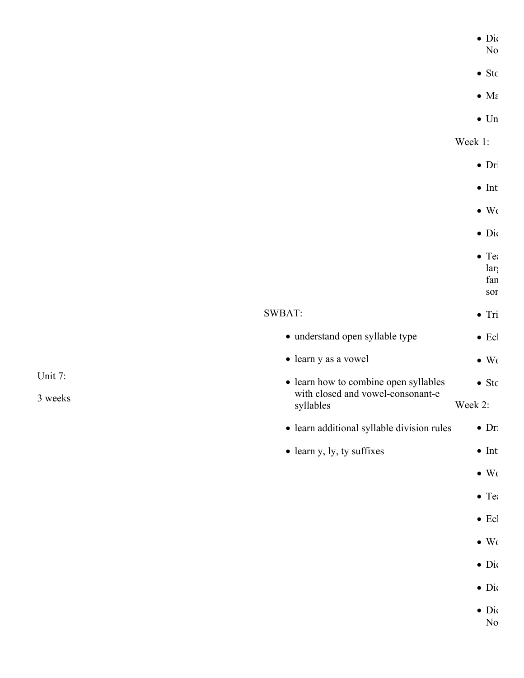| $\bullet$ | 1۱(<br>ш |  |  |  |
|-----------|----------|--|--|--|
|           |          |  |  |  |

- $No$
- $\bullet$  Sto
- $\bullet$  Ma
- $\bullet$  Un

Week 1:

- $\bullet$  Dr
- $\bullet$  Int
- $\bullet$  Wo
- $\bullet$  Dio
	-
	- $\bullet$  Teach  $\bullet$ 
		- $lar<sub>i</sub>$

fan sor

 $\bullet$  Tri

# SWBAT:

- understand open syllable type  $\bullet$  Ecl
- learn y as a vowel  $\bullet$  Wo
- learn how to combine open syllables with closed and vowel-consonant-e syllables  $\bullet$  Sto Week 2:
- learn additional syllable division rules  $\bullet$  Dr
- learn y, ly, ty suffixes  $\bullet$  Int
	- $\bullet$  Wo
	- $\bullet$  Teach  $\bullet$
	- $\bullet$  Ecl
	-
	- $\bullet$  Wo
	- $\bullet$  Dic
	- $\bullet$  Dic
	- $\bullet$  Dic
		- $No$

Unit 7: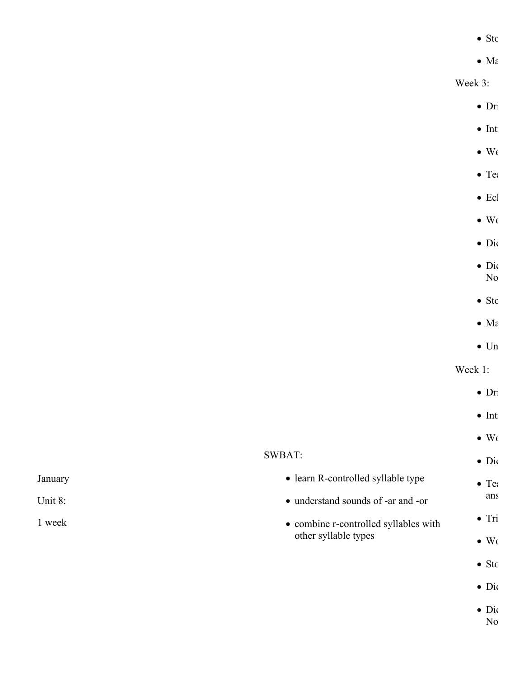$\bullet$  Sto

 $\bullet$  Ma

Week 3:

- $\bullet$  Dr
- $\bullet$  Int
- $\bullet$  Wo
- $\bullet$  Teach  $\bullet$ 
	- $\bullet$  Ecl
- $\bullet$  Wo
- $\bullet$  Dic
- $\bullet$  Dic
- $No$
- $\bullet$  Sto
- $\bullet$  Ma
- $\bullet$  Un

Week 1:

- January Unit 8: 1 week SWBAT: learn R-controlled syllable type understand sounds of -ar and -or combine r-controlled syllables with other syllable types  $\bullet$  Dr  $\bullet$  Int  $\bullet$  Wo  $\bullet$  Dio  $\bullet$  Teach  $\bullet$ ans  $\bullet$  Tri  $\bullet$  Wo  $\bullet$  Sto  $\bullet$  Dic
	- $\bullet$  Dio
		- $No$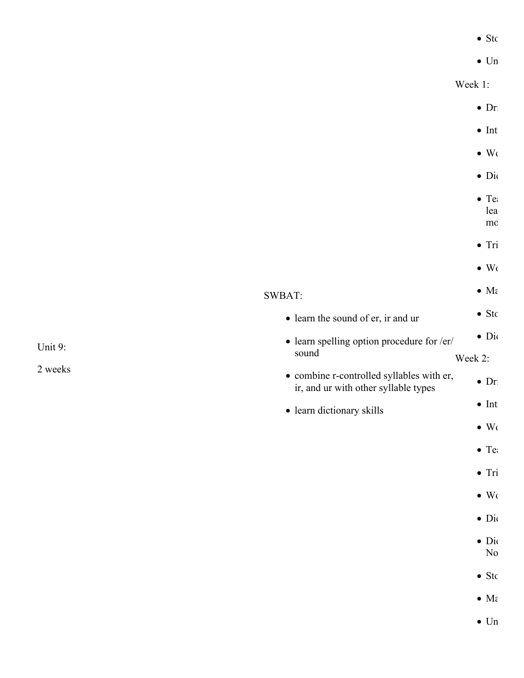|  | $\bullet$ Stc |
|--|---------------|
|  | $\bullet$ Un  |

Week 1:

- SWBAT: learn the sound of er, ir and ur learn spelling option procedure for /er/ sound combine r-controlled syllables with er, ir, and ur with other syllable types • learn dictionary skills  $\bullet$  Dr  $\bullet$  Int  $\bullet$  Wo  $\bullet$  Dio  $\bullet$  Teach  $\bullet$ lea  $mc$  $\bullet$  Tri  $\bullet$  Wo  $\bullet$  Ma  $\bullet$  Stc  $\bullet$  Dic Week 2:  $\bullet$  Dri  $\bullet$  Int  $\bullet$  Wo  $\bullet$  Teach  $\bullet$  $\bullet$  Tri  $\bullet$  Wo  $\bullet$  Dic
	- $\bullet$  Dic  $No$ 
		- $\bullet$  Sto
		- $\bullet$  Ma
		- $\bullet$  Un

Unit 9: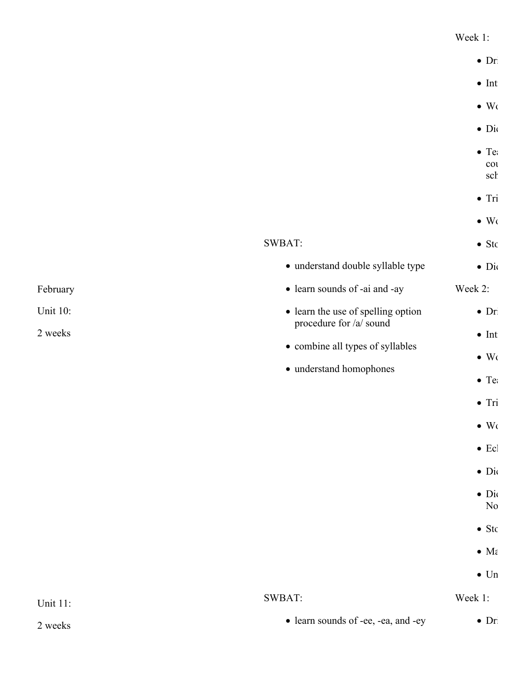#### Week 1:

|                            |                                                                                                                              | $\bullet$ Dr.                                                                                                                                                                                                 |
|----------------------------|------------------------------------------------------------------------------------------------------------------------------|---------------------------------------------------------------------------------------------------------------------------------------------------------------------------------------------------------------|
|                            |                                                                                                                              | $\bullet$ Int                                                                                                                                                                                                 |
|                            |                                                                                                                              | $\bullet$ Wo                                                                                                                                                                                                  |
|                            |                                                                                                                              | $\bullet$ Di                                                                                                                                                                                                  |
|                            |                                                                                                                              | $\bullet$ Te:<br>$\cot$<br>sch                                                                                                                                                                                |
|                            |                                                                                                                              | $\bullet$ Tri                                                                                                                                                                                                 |
|                            |                                                                                                                              | $\bullet$ Wo                                                                                                                                                                                                  |
|                            | SWBAT:                                                                                                                       | $\bullet$ Stc                                                                                                                                                                                                 |
|                            | · understand double syllable type                                                                                            | $\bullet$ Di                                                                                                                                                                                                  |
| February                   | • learn sounds of -ai and -ay                                                                                                | Week 2:                                                                                                                                                                                                       |
| <b>Unit 10:</b><br>2 weeks | • learn the use of spelling option<br>procedure for /a/ sound<br>• combine all types of syllables<br>• understand homophones | $\bullet$ Dr<br>$\bullet$ Int<br>$\bullet$ Wo<br>$\bullet$ Te:<br>$\bullet$ Tri<br>$\bullet$ Wo<br>$\bullet$ Ecl<br>$\bullet$ Di<br>$\bullet$ Di<br>N <sub>0</sub><br>$\bullet$ Stc<br>$\bullet$ M $\epsilon$ |
|                            |                                                                                                                              | $\bullet$ Un                                                                                                                                                                                                  |
| <b>Unit 11:</b>            | SWBAT:                                                                                                                       | Week 1:                                                                                                                                                                                                       |
| 2 weeks                    | • learn sounds of -ee, -ea, and -ey                                                                                          | $\bullet$ Dr                                                                                                                                                                                                  |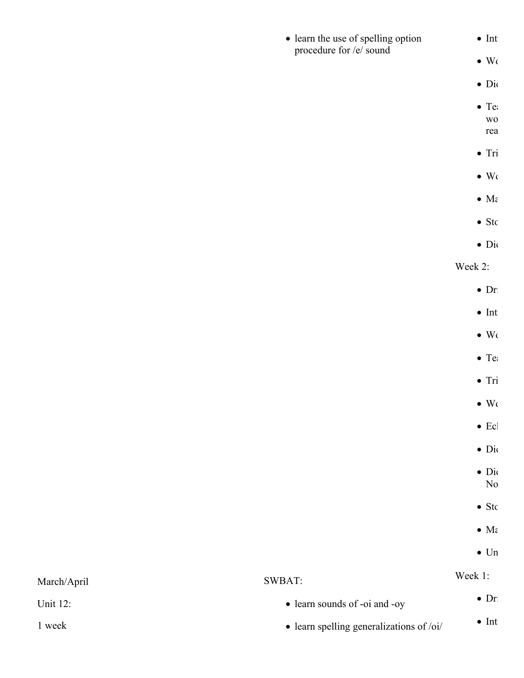| • learn the use of spelling option     | $\bullet$ Int             |
|----------------------------------------|---------------------------|
| procedure for /e/ sound                | $\bullet\,$ Wo            |
|                                        | $\bullet$ Di              |
|                                        | $\bullet$ Te:             |
|                                        | $\rm W0$<br>rea           |
|                                        | $\bullet$ Tri             |
|                                        | $\bullet\,$ Wo            |
|                                        | $\bullet$ Ma              |
|                                        | $\bullet$ Stc             |
|                                        | $\bullet$ Di              |
|                                        | Week 2:                   |
|                                        | $\bullet$ Dr              |
|                                        | $\bullet$ Int             |
|                                        | $\bullet\,$ Wo            |
|                                        | $\bullet$ Te:             |
|                                        | $\bullet$ Tri             |
|                                        | $\bullet\,$ Wo            |
|                                        | $\bullet$ Ecl             |
|                                        | $\bullet$ Dio             |
|                                        | $\bullet$ Dio<br>$\rm No$ |
|                                        | $\bullet$ Stc             |
|                                        | $\bullet$ Ma              |
|                                        | $\bullet$ Un              |
| SWBAT:                                 | Week 1:                   |
| • learn sounds of -oi and -oy          | $\bullet$ Dr              |
| loorn apolling generalizations of loil | $\bullet$ Int             |

March/April

learn spelling generalizations of /oi/

1 week

Unit 12: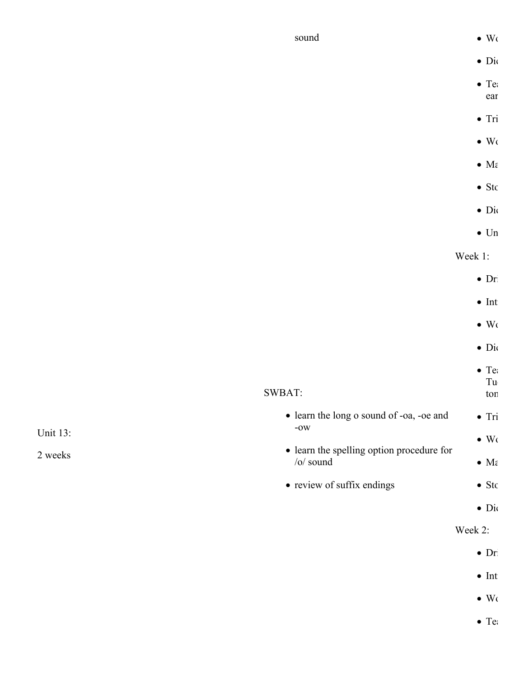| sound                                                               | $\bullet$ Wo           |
|---------------------------------------------------------------------|------------------------|
|                                                                     | $\bullet$ Di           |
|                                                                     | $\bullet$ Te:          |
|                                                                     | ear                    |
|                                                                     | $\bullet$ Tri          |
|                                                                     | $\bullet$ Wo           |
|                                                                     | $\bullet$ M $\epsilon$ |
|                                                                     | $\bullet$ Stc          |
|                                                                     | $\bullet$ Di           |
|                                                                     | $\bullet$ Un           |
|                                                                     | Week 1:                |
|                                                                     | $\bullet$ Dr           |
|                                                                     | $\bullet$ Int          |
|                                                                     | $\bullet$ Wo           |
|                                                                     | $\bullet$ Di           |
|                                                                     | $\bullet$ Te:          |
|                                                                     | $\operatorname{Tu}$    |
| SWBAT:                                                              | ton                    |
| • learn the long o sound of -oa, -oe and<br>$\mbox{-}\mathrm{OW}$   | $\bullet$ Tri          |
| <b>Unit 13:</b>                                                     | $\bullet$ Wo           |
| • learn the spelling option procedure for<br>2 weeks<br>$/o/$ sound | $\bullet$ M $\epsilon$ |
| • review of suffix endings                                          | $\bullet$ Stc          |
|                                                                     | $\bullet$ Di           |
|                                                                     | Week 2:                |
|                                                                     | $\bullet$ Dr           |
|                                                                     | $\bullet$ Int          |

 $\bullet$  Wo

 $\bullet$  Tea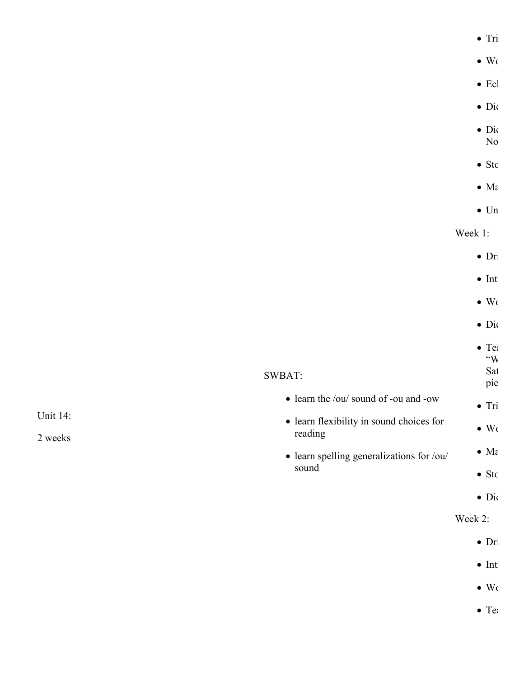|                                                     | $\bullet$ Tri               |
|-----------------------------------------------------|-----------------------------|
|                                                     | $\bullet$ Wo                |
|                                                     | $\bullet$ Ecl               |
|                                                     | $\bullet$ Di                |
|                                                     | $\bullet$ Dio<br>No         |
|                                                     | $\bullet$ Stc               |
|                                                     | $\bullet$ Ma                |
|                                                     | $\bullet$ Un                |
|                                                     | Week 1:                     |
|                                                     | $\bullet$ Dr                |
|                                                     | $\bullet$ Int               |
|                                                     | $\bullet$ Wo                |
|                                                     | $\bullet$ Di                |
|                                                     | $\bullet$ Te<br>$W^{\circ}$ |
| SWBAT:                                              | Sat<br>pie                  |
| • learn the /ou/ sound of -ou and -ow               | $\bullet$ Tri               |
| • learn flexibility in sound choices for<br>reading | $\bullet$ Wo                |
| • learn spelling generalizations for /ou/           | $\bullet$ M $\epsilon$      |
| sound                                               | $\bullet$ Stc               |
|                                                     | $\bullet$ Di                |

Unit 14:

2 weeks

Week 2:

- $\bullet$  Dr
- $\bullet$  Int
- $\bullet$  Wo
- $\bullet$  Teach tries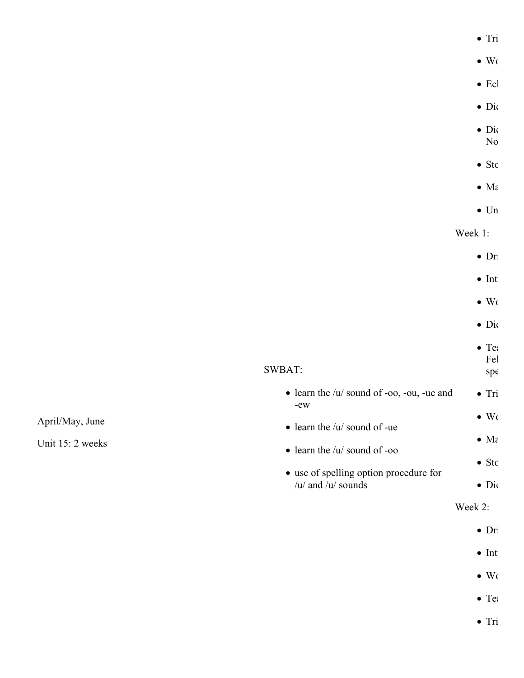|                  |                                                             | $\bullet$ Tri                     |
|------------------|-------------------------------------------------------------|-----------------------------------|
|                  |                                                             | $\bullet$ Wo                      |
|                  |                                                             | $\bullet$ Ecl                     |
|                  |                                                             | $\bullet$ Di                      |
|                  |                                                             | $\bullet$ Di<br>$\rm No$          |
|                  |                                                             | $\bullet$ Stc                     |
|                  |                                                             | $\bullet$ Ma                      |
|                  |                                                             | $\bullet$ Un                      |
|                  |                                                             | Week 1:                           |
|                  |                                                             | $\bullet$ Dr                      |
|                  |                                                             | $\bullet$ Int                     |
|                  |                                                             | $\bullet$ Wo                      |
|                  |                                                             | $\bullet$ Dio                     |
|                  | SWBAT:                                                      | $\bullet$ Te:<br>$\rm Fe l$<br>sp |
|                  | $\bullet$ learn the /u/ sound of -oo, -ou, -ue and<br>$-ew$ | $\bullet$ Tri                     |
| April/May, June  | $\bullet$ learn the /u/ sound of -ue                        | $\bullet \,$ Wo                   |
| Unit 15: 2 weeks | $\bullet$ learn the /u/ sound of -oo                        | $\bullet$ M $\epsilon$            |
|                  | • use of spelling option procedure for                      | $\bullet$ Stc                     |
|                  | / $u$ / and / $u$ / sounds                                  | $\bullet$ Di                      |
|                  |                                                             | Week 2:                           |
|                  |                                                             | $\bullet$ Dr                      |

- $\bullet$  Int
- $\bullet$  Wo
- $\bullet$  Tea

 $\bullet$  Tri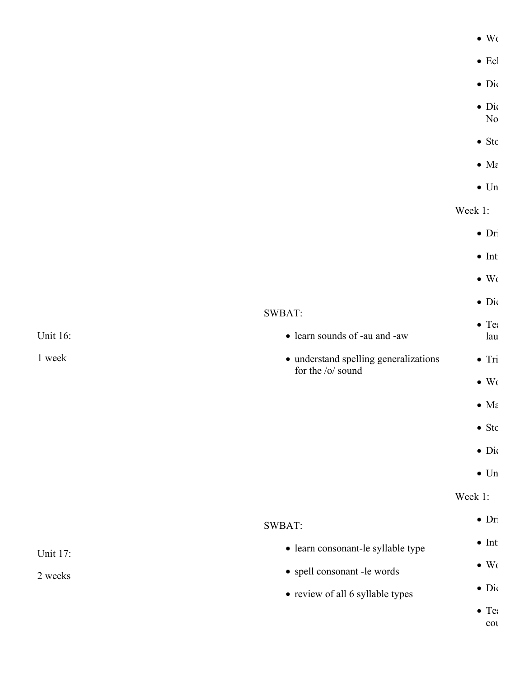|                                       | $\bullet$ Wo                       |
|---------------------------------------|------------------------------------|
|                                       | $\bullet$ Ecl                      |
|                                       | $\bullet$ Di                       |
|                                       | $\bullet$ Di<br>$\rm No$           |
|                                       | $\bullet$ Stc                      |
|                                       | $\bullet$ M $\epsilon$             |
|                                       | $\bullet$ Un                       |
|                                       | Week 1:                            |
|                                       | $\bullet$ Dr                       |
|                                       | $\bullet$ Int                      |
|                                       | $\bullet$ Wo                       |
|                                       | $\bullet$ Dio                      |
| • learn sounds of -au and -aw         | $\bullet$ Te:<br>lau               |
| • understand spelling generalizations | $\bullet$ Tri                      |
|                                       | $\bullet$ Wo                       |
|                                       | $\bullet$ M $\epsilon$             |
|                                       | $\bullet$ Stc                      |
|                                       | $\bullet$ Dio                      |
|                                       | $\bullet$ Un                       |
|                                       | Week 1:                            |
| SWBAT:                                | $\bullet$ Dr                       |
| · learn consonant-le syllable type    | $\bullet$ Int                      |
| • spell consonant -le words           | $\bullet \,$ Wo                    |
| • review of all 6 syllable types      | $\bullet$ Dio                      |
|                                       | $\bullet$ Te:<br>$\cot$            |
|                                       | SWBAT:<br>for the $\sqrt{0}$ sound |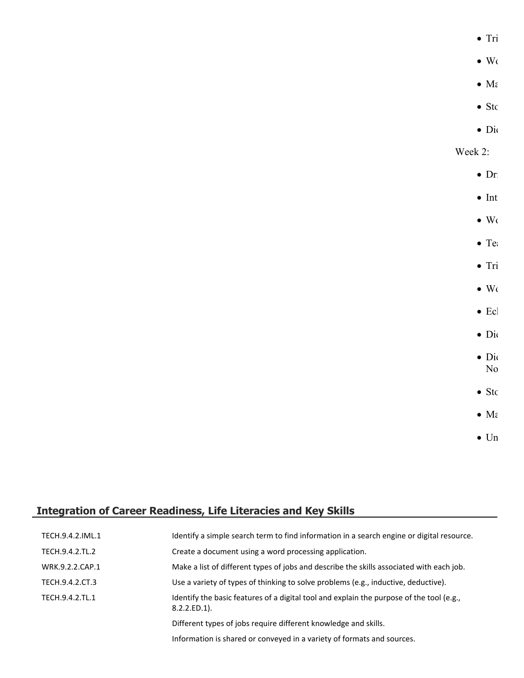$\bullet$  Tri

- $\bullet$  Wo
- $\bullet$  Ma
- $\bullet$  Sto
- $\bullet$  Dic

## Week 2:

- $\bullet$  Dri
- $\bullet$  Int
- $\bullet$  Wo
- $\bullet$  Teach tries
- $\bullet$  Tri
- 
- $\bullet$  Wo
- $\bullet$  Ecl
- 
- $\bullet$  Dic
- $\bullet$  Dio  $No$
- $\bullet$  Sto
- $\bullet$  Ma
- $\bullet$  Un

## **Integration of Career Readiness, Life Literacies and Key Skills**

| TECH.9.4.2.IML.1 | Identify a simple search term to find information in a search engine or digital resource.                   |
|------------------|-------------------------------------------------------------------------------------------------------------|
| TECH.9.4.2.TL.2  | Create a document using a word processing application.                                                      |
| WRK.9.2.2.CAP.1  | Make a list of different types of jobs and describe the skills associated with each job.                    |
| TECH.9.4.2.CT.3  | Use a variety of types of thinking to solve problems (e.g., inductive, deductive).                          |
| TECH.9.4.2.TL.1  | Identify the basic features of a digital tool and explain the purpose of the tool (e.g.,<br>$8.2.2.ED.1$ ). |
|                  | Different types of jobs require different knowledge and skills.                                             |
|                  | Information is shared or conveyed in a variety of formats and sources.                                      |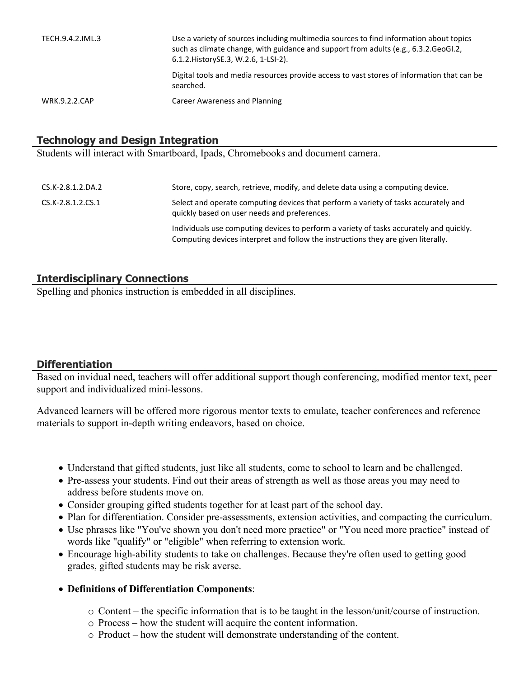| TECH.9.4.2.IML.3     | Use a variety of sources including multimedia sources to find information about topics<br>such as climate change, with guidance and support from adults (e.g., 6.3.2.GeoGI.2,<br>6.1.2. History SE.3, W.2.6, 1-LSI-2). |
|----------------------|------------------------------------------------------------------------------------------------------------------------------------------------------------------------------------------------------------------------|
|                      | Digital tools and media resources provide access to vast stores of information that can be<br>searched.                                                                                                                |
| <b>WRK.9.2.2.CAP</b> | Career Awareness and Planning                                                                                                                                                                                          |

## **Technology and Design Integration**

Students will interact with Smartboard, Ipads, Chromebooks and document camera.

| CS.K-2.8.1.2.DA.2 | Store, copy, search, retrieve, modify, and delete data using a computing device.                                                                                             |
|-------------------|------------------------------------------------------------------------------------------------------------------------------------------------------------------------------|
| CS.K-2.8.1.2.CS.1 | Select and operate computing devices that perform a variety of tasks accurately and<br>quickly based on user needs and preferences.                                          |
|                   | Individuals use computing devices to perform a variety of tasks accurately and quickly.<br>Computing devices interpret and follow the instructions they are given literally. |

## **Interdisciplinary Connections**

Spelling and phonics instruction is embedded in all disciplines.

## **Differentiation**

Based on invidual need, teachers will offer additional support though conferencing, modified mentor text, peer support and individualized mini-lessons.

Advanced learners will be offered more rigorous mentor texts to emulate, teacher conferences and reference materials to support in-depth writing endeavors, based on choice.

- Understand that gifted students, just like all students, come to school to learn and be challenged.
- Pre-assess your students. Find out their areas of strength as well as those areas you may need to address before students move on.
- Consider grouping gifted students together for at least part of the school day.
- Plan for differentiation. Consider pre-assessments, extension activities, and compacting the curriculum.
- Use phrases like "You've shown you don't need more practice" or "You need more practice" instead of words like "qualify" or "eligible" when referring to extension work.
- Encourage high-ability students to take on challenges. Because they're often used to getting good grades, gifted students may be risk averse.
- **Definitions of Differentiation Components**:
	- o Content the specific information that is to be taught in the lesson/unit/course of instruction.
	- o Process how the student will acquire the content information.
	- o Product how the student will demonstrate understanding of the content.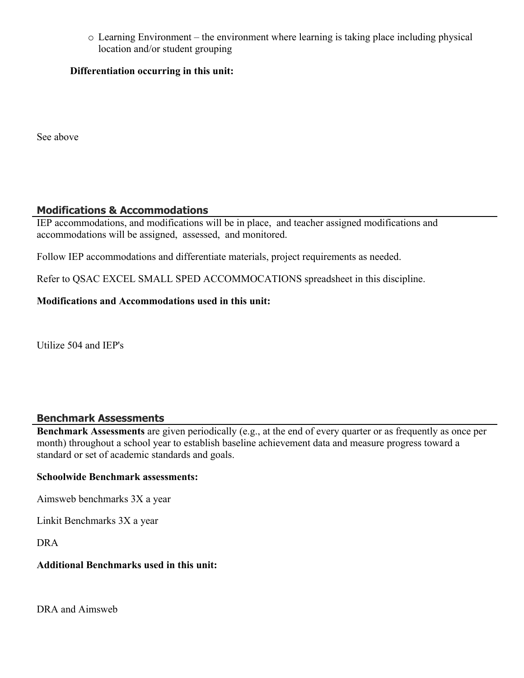o Learning Environment – the environment where learning is taking place including physical location and/or student grouping

#### **Differentiation occurring in this unit:**

See above

## **Modifications & Accommodations**

IEP accommodations, and modifications will be in place, and teacher assigned modifications and accommodations will be assigned, assessed, and monitored.

Follow IEP accommodations and differentiate materials, project requirements as needed.

Refer to QSAC EXCEL SMALL SPED ACCOMMOCATIONS spreadsheet in this discipline.

#### **Modifications and Accommodations used in this unit:**

Utilize 504 and IEP's

#### **Benchmark Assessments**

**Benchmark Assessments** are given periodically (e.g., at the end of every quarter or as frequently as once per month) throughout a school year to establish baseline achievement data and measure progress toward a standard or set of academic standards and goals.

#### **Schoolwide Benchmark assessments:**

Aimsweb benchmarks 3X a year

Linkit Benchmarks 3X a year

DRA

#### **Additional Benchmarks used in this unit:**

DRA and Aimsweb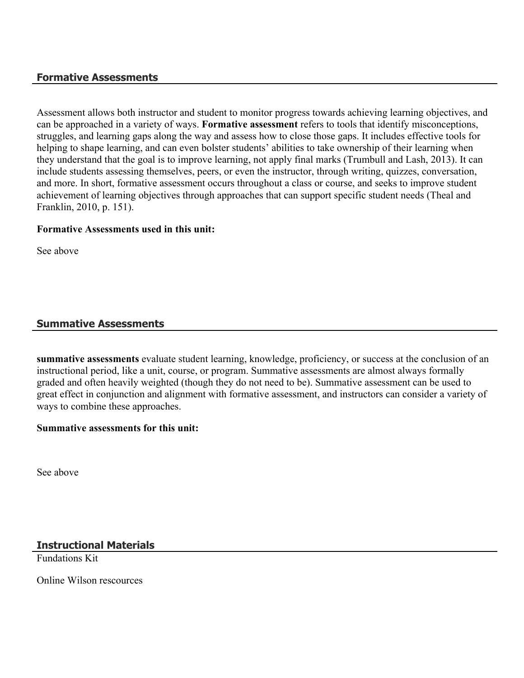#### **Formative Assessments**

Assessment allows both instructor and student to monitor progress towards achieving learning objectives, and can be approached in a variety of ways. **Formative assessment** refers to tools that identify misconceptions, struggles, and learning gaps along the way and assess how to close those gaps. It includes effective tools for helping to shape learning, and can even bolster students' abilities to take ownership of their learning when they understand that the goal is to improve learning, not apply final marks (Trumbull and Lash, 2013). It can include students assessing themselves, peers, or even the instructor, through writing, quizzes, conversation, and more. In short, formative assessment occurs throughout a class or course, and seeks to improve student achievement of learning objectives through approaches that can support specific student needs (Theal and Franklin, 2010, p. 151).

#### **Formative Assessments used in this unit:**

See above

#### **Summative Assessments**

**summative assessments** evaluate student learning, knowledge, proficiency, or success at the conclusion of an instructional period, like a unit, course, or program. Summative assessments are almost always formally graded and often heavily weighted (though they do not need to be). Summative assessment can be used to great effect in conjunction and alignment with formative assessment, and instructors can consider a variety of ways to combine these approaches.

#### **Summative assessments for this unit:**

See above

## **Instructional Materials**

Fundations Kit

Online Wilson rescources